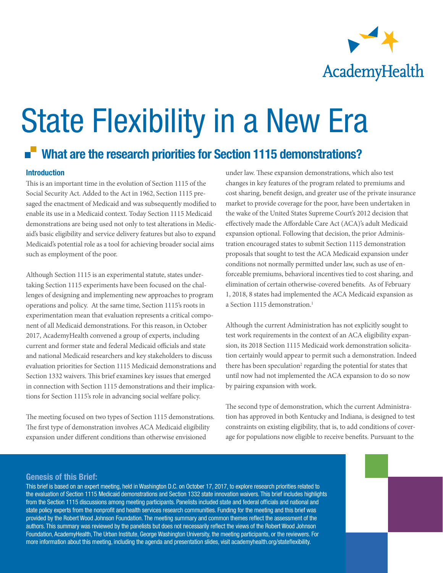

# State Flexibility in a New Era

# What are the research priorities for Section 1115 demonstrations?

### Introduction

This is an important time in the evolution of Section 1115 of the Social Security Act. Added to the Act in 1962, Section 1115 presaged the enactment of Medicaid and was subsequently modified to enable its use in a Medicaid context. Today Section 1115 Medicaid demonstrations are being used not only to test alterations in Medicaid's basic eligibility and service delivery features but also to expand Medicaid's potential role as a tool for achieving broader social aims such as employment of the poor.

Although Section 1115 is an experimental statute, states undertaking Section 1115 experiments have been focused on the challenges of designing and implementing new approaches to program operations and policy. At the same time, Section 1115's roots in experimentation mean that evaluation represents a critical component of all Medicaid demonstrations. For this reason, in October 2017, AcademyHealth convened a group of experts, including current and former state and federal Medicaid officials and state and national Medicaid researchers and key stakeholders to discuss evaluation priorities for Section 1115 Medicaid demonstrations and Section 1332 waivers. This brief examines key issues that emerged in connection with Section 1115 demonstrations and their implications for Section 1115's role in advancing social welfare policy.

The meeting focused on two types of Section 1115 demonstrations. The first type of demonstration involves ACA Medicaid eligibility expansion under different conditions than otherwise envisioned

under law. These expansion demonstrations, which also test changes in key features of the program related to premiums and cost sharing, benefit design, and greater use of the private insurance market to provide coverage for the poor, have been undertaken in the wake of the United States Supreme Court's 2012 decision that effectively made the Affordable Care Act (ACA)'s adult Medicaid expansion optional. Following that decision, the prior Administration encouraged states to submit Section 1115 demonstration proposals that sought to test the ACA Medicaid expansion under conditions not normally permitted under law, such as use of enforceable premiums, behavioral incentives tied to cost sharing, and elimination of certain otherwise-covered benefits. As of February 1, 2018, 8 states had implemented the ACA Medicaid expansion as a Section 1115 demonstration.<sup>1</sup>

Although the current Administration has not explicitly sought to test work requirements in the context of an ACA eligibility expansion, its 2018 Section 1115 Medicaid work demonstration solicitation certainly would appear to permit such a demonstration. Indeed there has been speculation<sup>2</sup> regarding the potential for states that until now had not implemented the ACA expansion to do so now by pairing expansion with work.

The second type of demonstration, which the current Administration has approved in both Kentucky and Indiana, is designed to test constraints on existing eligibility, that is, to add conditions of coverage for populations now eligible to receive benefits. Pursuant to the

#### Genesis of this Brief:

This brief is based on an expert meeting, held in Washington D.C. on October 17, 2017, to explore research priorities related to the evaluation of Section 1115 Medicaid demonstrations and Section 1332 state innovation waivers. This brief includes highlights from the Section 1115 discussions among meeting participants. Panelists included state and federal officials and national and state policy experts from the nonprofit and health services research communities. Funding for the meeting and this brief was provided by the Robert Wood Johnson Foundation. The meeting summary and common themes reflect the assessment of the authors. This summary was reviewed by the panelists but does not necessarily reflect the views of the Robert Wood Johnson Foundation, AcademyHealth, The Urban Institute, George Washington University, the meeting participants, or the reviewers. For more information about this meeting, including the agenda and presentation slides, visit academyhealth.org/stateflexibility.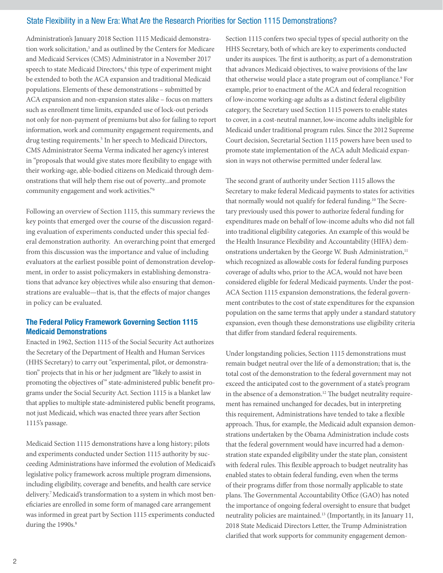Administration's January 2018 Section 1115 Medicaid demonstration work solicitation,<sup>3</sup> and as outlined by the Centers for Medicare and Medicaid Services (CMS) Administrator in a November 2017 speech to state Medicaid Directors,<sup>4</sup> this type of experiment might be extended to both the ACA expansion and traditional Medicaid populations. Elements of these demonstrations – submitted by ACA expansion and non-expansion states alike – focus on matters such as enrollment time limits, expanded use of lock-out periods not only for non-payment of premiums but also for failing to report information, work and community engagement requirements, and drug testing requirements.<sup>5</sup> In her speech to Medicaid Directors, CMS Administrator Seema Verma indicated her agency's interest in "proposals that would give states more flexibility to engage with their working-age, able-bodied citizens on Medicaid through demonstrations that will help them rise out of poverty...and promote community engagement and work activities."6

Following an overview of Section 1115, this summary reviews the key points that emerged over the course of the discussion regarding evaluation of experiments conducted under this special federal demonstration authority. An overarching point that emerged from this discussion was the importance and value of including evaluators at the earliest possible point of demonstration development, in order to assist policymakers in establishing demonstrations that advance key objectives while also ensuring that demonstrations are evaluable—that is, that the effects of major changes in policy can be evaluated.

# The Federal Policy Framework Governing Section 1115 Medicaid Demonstrations

Enacted in 1962, Section 1115 of the Social Security Act authorizes the Secretary of the Department of Health and Human Services (HHS Secretary) to carry out "experimental, pilot, or demonstration" projects that in his or her judgment are "likely to assist in promoting the objectives of" state-administered public benefit programs under the Social Security Act. Section 1115 is a blanket law that applies to multiple state-administered public benefit programs, not just Medicaid, which was enacted three years after Section 1115's passage.

Medicaid Section 1115 demonstrations have a long history; pilots and experiments conducted under Section 1115 authority by succeeding Administrations have informed the evolution of Medicaid's legislative policy framework across multiple program dimensions, including eligibility, coverage and benefits, and health care service delivery.<sup>7</sup> Medicaid's transformation to a system in which most beneficiaries are enrolled in some form of managed care arrangement was informed in great part by Section 1115 experiments conducted during the 1990s.<sup>8</sup>

Section 1115 confers two special types of special authority on the HHS Secretary, both of which are key to experiments conducted under its auspices. The first is authority, as part of a demonstration that advances Medicaid objectives, to waive provisions of the law that otherwise would place a state program out of compliance.<sup>9</sup> For example, prior to enactment of the ACA and federal recognition of low-income working-age adults as a distinct federal eligibility category, the Secretary used Section 1115 powers to enable states to cover, in a cost-neutral manner, low-income adults ineligible for Medicaid under traditional program rules. Since the 2012 Supreme Court decision, Secretarial Section 1115 powers have been used to promote state implementation of the ACA adult Medicaid expansion in ways not otherwise permitted under federal law.

The second grant of authority under Section 1115 allows the Secretary to make federal Medicaid payments to states for activities that normally would not qualify for federal funding.<sup>10</sup> The Secretary previously used this power to authorize federal funding for expenditures made on behalf of low-income adults who did not fall into traditional eligibility categories. An example of this would be the Health Insurance Flexibility and Accountability (HIFA) demonstrations undertaken by the George W. Bush Administration,<sup>11</sup> which recognized as allowable costs for federal funding purposes coverage of adults who, prior to the ACA, would not have been considered eligible for federal Medicaid payments. Under the post-ACA Section 1115 expansion demonstrations, the federal government contributes to the cost of state expenditures for the expansion population on the same terms that apply under a standard statutory expansion, even though these demonstrations use eligibility criteria that differ from standard federal requirements.

Under longstanding policies, Section 1115 demonstrations must remain budget neutral over the life of a demonstration; that is, the total cost of the demonstration to the federal government may not exceed the anticipated cost to the government of a state's program in the absence of a demonstration.<sup>12</sup> The budget neutrality requirement has remained unchanged for decades, but in interpreting this requirement, Administrations have tended to take a flexible approach. Thus, for example, the Medicaid adult expansion demonstrations undertaken by the Obama Administration include costs that the federal government would have incurred had a demonstration state expanded eligibility under the state plan, consistent with federal rules. This flexible approach to budget neutrality has enabled states to obtain federal funding, even when the terms of their programs differ from those normally applicable to state plans. The Governmental Accountability Office (GAO) has noted the importance of ongoing federal oversight to ensure that budget neutrality policies are maintained.<sup>13</sup> (Importantly, in its January 11, 2018 State Medicaid Directors Letter, the Trump Administration clarified that work supports for community engagement demon-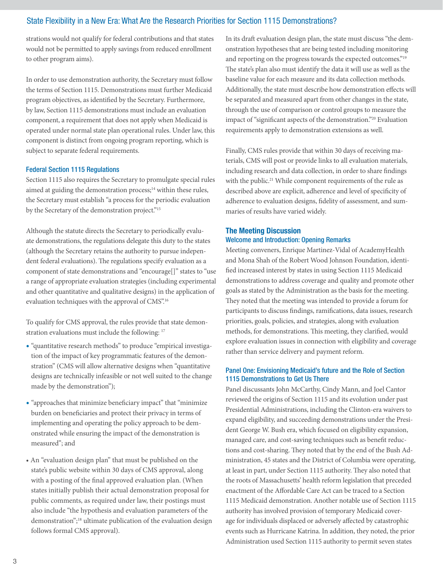strations would not qualify for federal contributions and that states would not be permitted to apply savings from reduced enrollment to other program aims).

In order to use demonstration authority, the Secretary must follow the terms of Section 1115. Demonstrations must further Medicaid program objectives, as identified by the Secretary. Furthermore, by law, Section 1115 demonstrations must include an evaluation component, a requirement that does not apply when Medicaid is operated under normal state plan operational rules. Under law, this component is distinct from ongoing program reporting, which is subject to separate federal requirements.

#### Federal Section 1115 Regulations

Section 1115 also requires the Secretary to promulgate special rules aimed at guiding the demonstration process;<sup>14</sup> within these rules, the Secretary must establish "a process for the periodic evaluation by the Secretary of the demonstration project."<sup>15</sup>

Although the statute directs the Secretary to periodically evaluate demonstrations, the regulations delegate this duty to the states (although the Secretary retains the authority to pursue independent federal evaluations). The regulations specify evaluation as a component of state demonstrations and "encourage[]" states to "use a range of appropriate evaluation strategies (including experimental and other quantitative and qualitative designs) in the application of evaluation techniques with the approval of CMS".16

To qualify for CMS approval, the rules provide that state demonstration evaluations must include the following: 17

- "quantitative research methods" to produce "empirical investigation of the impact of key programmatic features of the demonstration" (CMS will allow alternative designs when "quantitative designs are technically infeasible or not well suited to the change made by the demonstration");
- "approaches that minimize beneficiary impact" that "minimize burden on beneficiaries and protect their privacy in terms of implementing and operating the policy approach to be demonstrated while ensuring the impact of the demonstration is measured"; and
- An "evaluation design plan" that must be published on the state's public website within 30 days of CMS approval, along with a posting of the final approved evaluation plan. (When states initially publish their actual demonstration proposal for public comments, as required under law, their postings must also include "the hypothesis and evaluation parameters of the demonstration";<sup>18</sup> ultimate publication of the evaluation design follows formal CMS approval).

In its draft evaluation design plan, the state must discuss "the demonstration hypotheses that are being tested including monitoring and reporting on the progress towards the expected outcomes."19 The state's plan also must identify the data it will use as well as the baseline value for each measure and its data collection methods. Additionally, the state must describe how demonstration effects will be separated and measured apart from other changes in the state, through the use of comparison or control groups to measure the impact of "significant aspects of the demonstration."20 Evaluation requirements apply to demonstration extensions as well.

Finally, CMS rules provide that within 30 days of receiving materials, CMS will post or provide links to all evaluation materials, including research and data collection, in order to share findings with the public.<sup>21</sup> While component requirements of the rule as described above are explicit, adherence and level of specificity of adherence to evaluation designs, fidelity of assessment, and summaries of results have varied widely.

# The Meeting Discussion Welcome and Introduction: Opening Remarks

Meeting conveners, Enrique Martinez-Vidal of AcademyHealth and Mona Shah of the Robert Wood Johnson Foundation, identified increased interest by states in using Section 1115 Medicaid demonstrations to address coverage and quality and promote other goals as stated by the Administration as the basis for the meeting. They noted that the meeting was intended to provide a forum for participants to discuss findings, ramifications, data issues, research priorities, goals, policies, and strategies, along with evaluation methods, for demonstrations. This meeting, they clarified, would explore evaluation issues in connection with eligibility and coverage rather than service delivery and payment reform.

#### Panel One: Envisioning Medicaid's future and the Role of Section 1115 Demonstrations to Get Us There

Panel discussants John McCarthy, Cindy Mann, and Joel Cantor reviewed the origins of Section 1115 and its evolution under past Presidential Administrations, including the Clinton-era waivers to expand eligibility, and succeeding demonstrations under the President George W. Bush era, which focused on eligibility expansion, managed care, and cost-saving techniques such as benefit reductions and cost-sharing. They noted that by the end of the Bush Administration, 45 states and the District of Columbia were operating, at least in part, under Section 1115 authority. They also noted that the roots of Massachusetts' health reform legislation that preceded enactment of the Affordable Care Act can be traced to a Section 1115 Medicaid demonstration. Another notable use of Section 1115 authority has involved provision of temporary Medicaid coverage for individuals displaced or adversely affected by catastrophic events such as Hurricane Katrina. In addition, they noted, the prior Administration used Section 1115 authority to permit seven states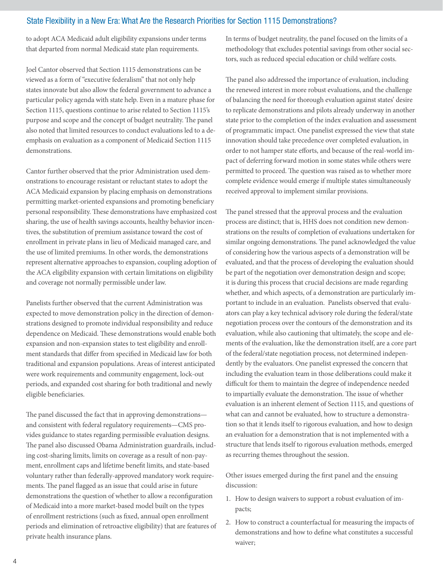to adopt ACA Medicaid adult eligibility expansions under terms that departed from normal Medicaid state plan requirements.

Joel Cantor observed that Section 1115 demonstrations can be viewed as a form of "executive federalism" that not only help states innovate but also allow the federal government to advance a particular policy agenda with state help. Even in a mature phase for Section 1115, questions continue to arise related to Section 1115's purpose and scope and the concept of budget neutrality. The panel also noted that limited resources to conduct evaluations led to a deemphasis on evaluation as a component of Medicaid Section 1115 demonstrations.

Cantor further observed that the prior Administration used demonstrations to encourage resistant or reluctant states to adopt the ACA Medicaid expansion by placing emphasis on demonstrations permitting market-oriented expansions and promoting beneficiary personal responsibility. These demonstrations have emphasized cost sharing, the use of health savings accounts, healthy behavior incentives, the substitution of premium assistance toward the cost of enrollment in private plans in lieu of Medicaid managed care, and the use of limited premiums. In other words, the demonstrations represent alternative approaches to expansion, coupling adoption of the ACA eligibility expansion with certain limitations on eligibility and coverage not normally permissible under law.

Panelists further observed that the current Administration was expected to move demonstration policy in the direction of demonstrations designed to promote individual responsibility and reduce dependence on Medicaid. These demonstrations would enable both expansion and non-expansion states to test eligibility and enrollment standards that differ from specified in Medicaid law for both traditional and expansion populations. Areas of interest anticipated were work requirements and community engagement, lock-out periods, and expanded cost sharing for both traditional and newly eligible beneficiaries.

The panel discussed the fact that in approving demonstrations and consistent with federal regulatory requirements—CMS provides guidance to states regarding permissible evaluation designs. The panel also discussed Obama Administration guardrails, including cost-sharing limits, limits on coverage as a result of non-payment, enrollment caps and lifetime benefit limits, and state-based voluntary rather than federally-approved mandatory work requirements. The panel flagged as an issue that could arise in future demonstrations the question of whether to allow a reconfiguration of Medicaid into a more market-based model built on the types of enrollment restrictions (such as fixed, annual open enrollment periods and elimination of retroactive eligibility) that are features of private health insurance plans.

In terms of budget neutrality, the panel focused on the limits of a methodology that excludes potential savings from other social sectors, such as reduced special education or child welfare costs.

The panel also addressed the importance of evaluation, including the renewed interest in more robust evaluations, and the challenge of balancing the need for thorough evaluation against states' desire to replicate demonstrations and pilots already underway in another state prior to the completion of the index evaluation and assessment of programmatic impact. One panelist expressed the view that state innovation should take precedence over completed evaluation, in order to not hamper state efforts, and because of the real-world impact of deferring forward motion in some states while others were permitted to proceed. The question was raised as to whether more complete evidence would emerge if multiple states simultaneously received approval to implement similar provisions.

The panel stressed that the approval process and the evaluation process are distinct; that is, HHS does not condition new demonstrations on the results of completion of evaluations undertaken for similar ongoing demonstrations. The panel acknowledged the value of considering how the various aspects of a demonstration will be evaluated, and that the process of developing the evaluation should be part of the negotiation over demonstration design and scope; it is during this process that crucial decisions are made regarding whether, and which aspects, of a demonstration are particularly important to include in an evaluation. Panelists observed that evaluators can play a key technical advisory role during the federal/state negotiation process over the contours of the demonstration and its evaluation, while also cautioning that ultimately, the scope and elements of the evaluation, like the demonstration itself, are a core part of the federal/state negotiation process, not determined independently by the evaluators. One panelist expressed the concern that including the evaluation team in those deliberations could make it difficult for them to maintain the degree of independence needed to impartially evaluate the demonstration. The issue of whether evaluation is an inherent element of Section 1115, and questions of what can and cannot be evaluated, how to structure a demonstration so that it lends itself to rigorous evaluation, and how to design an evaluation for a demonstration that is not implemented with a structure that lends itself to rigorous evaluation methods, emerged as recurring themes throughout the session.

Other issues emerged during the first panel and the ensuing discussion:

- 1. How to design waivers to support a robust evaluation of impacts;
- 2. How to construct a counterfactual for measuring the impacts of demonstrations and how to define what constitutes a successful waiver;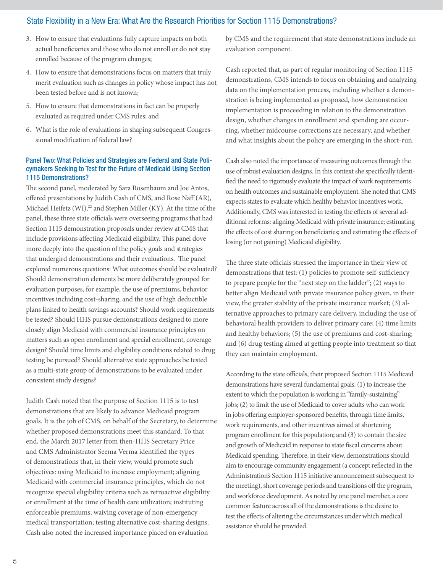- 3. How to ensure that evaluations fully capture impacts on both actual beneficiaries and those who do not enroll or do not stay enrolled because of the program changes;
- 4. How to ensure that demonstrations focus on matters that truly merit evaluation such as changes in policy whose impact has not been tested before and is not known;
- 5. How to ensure that demonstrations in fact can be properly evaluated as required under CMS rules; and
- 6. What is the role of evaluations in shaping subsequent Congressional modification of federal law?

#### Panel Two: What Policies and Strategies are Federal and State Policymakers Seeking to Test for the Future of Medicaid Using Section 1115 Demonstrations?

The second panel, moderated by Sara Rosenbaum and Joe Antos, offered presentations by Judith Cash of CMS, and Rose Naff (AR), Michael Heifetz (WI),<sup>22</sup> and Stephen Miller (KY). At the time of the panel, these three state officials were overseeing programs that had Section 1115 demonstration proposals under review at CMS that include provisions affecting Medicaid eligibility. This panel dove more deeply into the question of the policy goals and strategies that undergird demonstrations and their evaluations. The panel explored numerous questions: What outcomes should be evaluated? Should demonstration elements be more deliberately grouped for evaluation purposes, for example, the use of premiums, behavior incentives including cost-sharing, and the use of high deductible plans linked to health savings accounts? Should work requirements be tested? Should HHS pursue demonstrations designed to more closely align Medicaid with commercial insurance principles on matters such as open enrollment and special enrollment, coverage design? Should time limits and eligibility conditions related to drug testing be pursued? Should alternative state approaches be tested as a multi-state group of demonstrations to be evaluated under consistent study designs?

Judith Cash noted that the purpose of Section 1115 is to test demonstrations that are likely to advance Medicaid program goals. It is the job of CMS, on behalf of the Secretary, to determine whether proposed demonstrations meet this standard. To that end, the March 2017 letter from then-HHS Secretary Price and CMS Administrator Seema Verma identified the types of demonstrations that, in their view, would promote such objectives: using Medicaid to increase employment; aligning Medicaid with commercial insurance principles, which do not recognize special eligibility criteria such as retroactive eligibility or enrollment at the time of health care utilization; instituting enforceable premiums; waiving coverage of non-emergency medical transportation; testing alternative cost-sharing designs. Cash also noted the increased importance placed on evaluation

by CMS and the requirement that state demonstrations include an evaluation component.

Cash reported that, as part of regular monitoring of Section 1115 demonstrations, CMS intends to focus on obtaining and analyzing data on the implementation process, including whether a demonstration is being implemented as proposed, how demonstration implementation is proceeding in relation to the demonstration design, whether changes in enrollment and spending are occurring, whether midcourse corrections are necessary, and whether and what insights about the policy are emerging in the short-run.

Cash also noted the importance of measuring outcomes through the use of robust evaluation designs. In this context she specifically identified the need to rigorously evaluate the impact of work requirements on health outcomes and sustainable employment. She noted that CMS expects states to evaluate which healthy behavior incentives work. Additionally, CMS was interested in testing the effects of several additional reforms: aligning Medicaid with private insurance; estimating the effects of cost sharing on beneficiaries; and estimating the effects of losing (or not gaining) Medicaid eligibility.

The three state officials stressed the importance in their view of demonstrations that test: (1) policies to promote self-sufficiency to prepare people for the "next step on the ladder"; (2) ways to better align Medicaid with private insurance policy given, in their view, the greater stability of the private insurance market; (3) alternative approaches to primary care delivery, including the use of behavioral health providers to deliver primary care; (4) time limits and healthy behaviors; (5) the use of premiums and cost-sharing; and (6) drug testing aimed at getting people into treatment so that they can maintain employment.

According to the state officials, their proposed Section 1115 Medicaid demonstrations have several fundamental goals: (1) to increase the extent to which the population is working in "family-sustaining" jobs; (2) to limit the use of Medicaid to cover adults who can work in jobs offering employer-sponsored benefits, through time limits, work requirements, and other incentives aimed at shortening program enrollment for this population; and (3) to contain the size and growth of Medicaid in response to state fiscal concerns about Medicaid spending. Therefore, in their view, demonstrations should aim to encourage community engagement (a concept reflected in the Administration's Section 1115 initiative announcement subsequent to the meeting), short coverage periods and transitions off the program, and workforce development. As noted by one panel member, a core common feature across all of the demonstrations is the desire to test the effects of altering the circumstances under which medical assistance should be provided.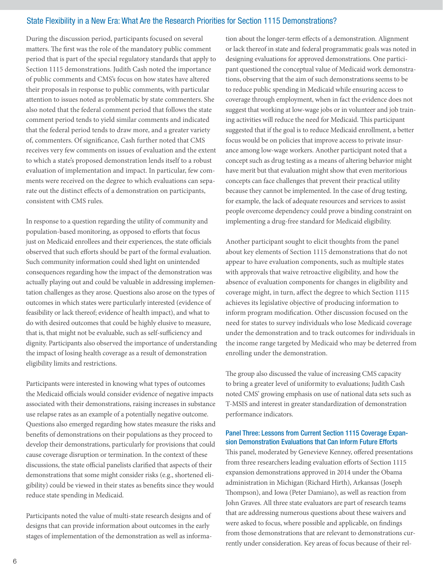During the discussion period, participants focused on several matters. The first was the role of the mandatory public comment period that is part of the special regulatory standards that apply to Section 1115 demonstrations. Judith Cash noted the importance of public comments and CMS's focus on how states have altered their proposals in response to public comments, with particular attention to issues noted as problematic by state commenters. She also noted that the federal comment period that follows the state comment period tends to yield similar comments and indicated that the federal period tends to draw more, and a greater variety of, commenters. Of significance, Cash further noted that CMS receives very few comments on issues of evaluation and the extent to which a state's proposed demonstration lends itself to a robust evaluation of implementation and impact. In particular, few comments were received on the degree to which evaluations can separate out the distinct effects of a demonstration on participants, consistent with CMS rules.

In response to a question regarding the utility of community and population-based monitoring, as opposed to efforts that focus just on Medicaid enrollees and their experiences, the state officials observed that such efforts should be part of the formal evaluation. Such community information could shed light on unintended consequences regarding how the impact of the demonstration was actually playing out and could be valuable in addressing implementation challenges as they arose. Questions also arose on the types of outcomes in which states were particularly interested (evidence of feasibility or lack thereof; evidence of health impact), and what to do with desired outcomes that could be highly elusive to measure, that is, that might not be evaluable, such as self-sufficiency and dignity. Participants also observed the importance of understanding the impact of losing health coverage as a result of demonstration eligibility limits and restrictions.

Participants were interested in knowing what types of outcomes the Medicaid officials would consider evidence of negative impacts associated with their demonstrations, raising increases in substance use relapse rates as an example of a potentially negative outcome. Questions also emerged regarding how states measure the risks and benefits of demonstrations on their populations as they proceed to develop their demonstrations, particularly for provisions that could cause coverage disruption or termination. In the context of these discussions, the state official panelists clarified that aspects of their demonstrations that some might consider risks (e.g., shortened eligibility) could be viewed in their states as benefits since they would reduce state spending in Medicaid.

Participants noted the value of multi-state research designs and of designs that can provide information about outcomes in the early stages of implementation of the demonstration as well as information about the longer-term effects of a demonstration. Alignment or lack thereof in state and federal programmatic goals was noted in designing evaluations for approved demonstrations. One participant questioned the conceptual value of Medicaid work demonstrations, observing that the aim of such demonstrations seems to be to reduce public spending in Medicaid while ensuring access to coverage through employment, when in fact the evidence does not suggest that working at low-wage jobs or in volunteer and job training activities will reduce the need for Medicaid. This participant suggested that if the goal is to reduce Medicaid enrollment, a better focus would be on policies that improve access to private insurance among low-wage workers. Another participant noted that a concept such as drug testing as a means of altering behavior might have merit but that evaluation might show that even meritorious concepts can face challenges that prevent their practical utility because they cannot be implemented. In the case of drug testing, for example, the lack of adequate resources and services to assist people overcome dependency could prove a binding constraint on implementing a drug-free standard for Medicaid eligibility.

Another participant sought to elicit thoughts from the panel about key elements of Section 1115 demonstrations that do not appear to have evaluation components, such as multiple states with approvals that waive retroactive eligibility, and how the absence of evaluation components for changes in eligibility and coverage might, in turn, affect the degree to which Section 1115 achieves its legislative objective of producing information to inform program modification. Other discussion focused on the need for states to survey individuals who lose Medicaid coverage under the demonstration and to track outcomes for individuals in the income range targeted by Medicaid who may be deterred from enrolling under the demonstration.

The group also discussed the value of increasing CMS capacity to bring a greater level of uniformity to evaluations; Judith Cash noted CMS' growing emphasis on use of national data sets such as T-MSIS and interest in greater standardization of demonstration performance indicators.

#### Panel Three: Lessons from Current Section 1115 Coverage Expansion Demonstration Evaluations that Can Inform Future Efforts

This panel, moderated by Genevieve Kenney, offered presentations from three researchers leading evaluation efforts of Section 1115 expansion demonstrations approved in 2014 under the Obama administration in Michigan (Richard Hirth), Arkansas (Joseph Thompson), and Iowa (Peter Damiano), as well as reaction from John Graves. All three state evaluators are part of research teams that are addressing numerous questions about these waivers and were asked to focus, where possible and applicable, on findings from those demonstrations that are relevant to demonstrations currently under consideration. Key areas of focus because of their rel-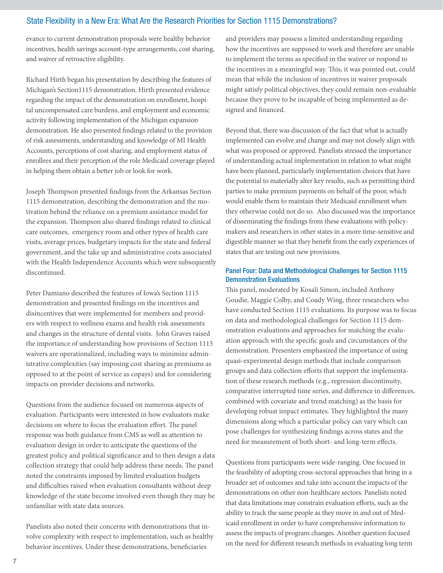evance to current demonstration proposals were healthy behavior incentives, health savings account-type arrangements, cost sharing, and waiver of retroactive eligibility.

Richard Hirth began his presentation by describing the features of Michigan's Section1115 demonstration. Hirth presented evidence regarding the impact of the demonstration on enrollment, hospital uncompensated care burdens, and employment and economic activity following implementation of the Michigan expansion demonstration. He also presented findings related to the provision of risk assessments, understanding and knowledge of MI Health Accounts, perceptions of cost sharing, and employment status of enrollees and their perception of the role Medicaid coverage played in helping them obtain a better job or look for work.

Joseph Thompson presented findings from the Arkansas Section 1115 demonstration, describing the demonstration and the motivation behind the reliance on a premium assistance model for the expansion. Thompson also shared findings related to clinical care outcomes, emergency room and other types of health care visits, average prices, budgetary impacts for the state and federal government, and the take up and administrative costs associated with the Health Independence Accounts which were subsequently discontinued.

Peter Damiano described the features of Iowa's Section 1115 demonstration and presented findings on the incentives and disincentives that were implemented for members and providers with respect to wellness exams and health risk assessments and changes in the structure of dental visits. John Graves raised the importance of understanding how provisions of Section 1115 waivers are operationalized, including ways to minimize administrative complexities (say imposing cost sharing as premiums as opposed to at the point of service as copays) and for considering impacts on provider decisions and networks.

Questions from the audience focused on numerous aspects of evaluation. Participants were interested in how evaluators make decisions on where to focus the evaluation effort. The panel response was both guidance from CMS as well as attention to evaluation design in order to anticipate the questions of the greatest policy and political significance and to then design a data collection strategy that could help address these needs. The panel noted the constraints imposed by limited evaluation budgets and difficulties raised when evaluation consultants without deep knowledge of the state become involved even though they may be unfamiliar with state data sources.

Panelists also noted their concerns with demonstrations that involve complexity with respect to implementation, such as healthy behavior incentives. Under these demonstrations, beneficiaries

and providers may possess a limited understanding regarding how the incentives are supposed to work and therefore are unable to implement the terms as specified in the waiver or respond to the incentives in a meaningful way. This, it was pointed out, could mean that while the inclusion of incentives in waiver proposals might satisfy political objectives, they could remain non-evaluable because they prove to be incapable of being implemented as designed and financed.

Beyond that, there was discussion of the fact that what is actually implemented can evolve and change and may not closely align with what was proposed or approved. Panelists stressed the importance of understanding actual implementation in relation to what might have been planned, particularly implementation choices that have the potential to materially alter key results, such as permitting third parties to make premium payments on behalf of the poor, which would enable them to maintain their Medicaid enrollment when they otherwise could not do so. Also discussed was the importance of disseminating the findings from these evaluations with policymakers and researchers in other states in a more time-sensitive and digestible manner so that they benefit from the early experiences of states that are testing out new provisions.

#### Panel Four: Data and Methodological Challenges for Section 1115 Demonstration Evaluations

This panel, moderated by Kosali Simon, included Anthony Goudie, Maggie Colby, and Coady Wing, three researchers who have conducted Section 1115 evaluations. Its purpose was to focus on data and methodological challenges for Section 1115 demonstration evaluations and approaches for matching the evaluation approach with the specific goals and circumstances of the demonstration. Presenters emphasized the importance of using quasi-experimental design methods that include comparison groups and data collection efforts that support the implementation of these research methods (e.g., regression discontinuity, comparative interrupted time series, and difference in differences, combined with covariate and trend matching) as the basis for developing robust impact estimates. They highlighted the many dimensions along which a particular policy can vary which can pose challenges for synthesizing findings across states and the need for measurement of both short- and long-term effects.

Questions from participants were wide-ranging. One focused in the feasibility of adopting cross-sectoral approaches that bring in a broader set of outcomes and take into account the impacts of the demonstrations on other non-healthcare sectors. Panelists noted that data limitations may constrain evaluation efforts, such as the ability to track the same people as they move in and out of Medicaid enrollment in order to have comprehensive information to assess the impacts of program changes. Another question focused on the need for different research methods in evaluating long term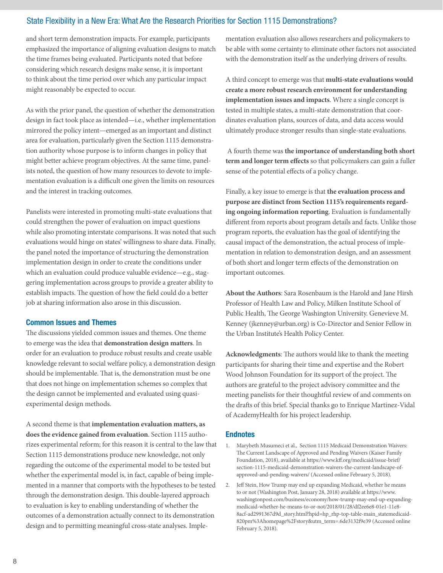and short term demonstration impacts. For example, participants emphasized the importance of aligning evaluation designs to match the time frames being evaluated. Participants noted that before considering which research designs make sense, it is important to think about the time period over which any particular impact might reasonably be expected to occur.

As with the prior panel, the question of whether the demonstration design in fact took place as intended—i.e., whether implementation mirrored the policy intent—emerged as an important and distinct area for evaluation, particularly given the Section 1115 demonstration authority whose purpose is to inform changes in policy that might better achieve program objectives. At the same time, panelists noted, the question of how many resources to devote to implementation evaluation is a difficult one given the limits on resources and the interest in tracking outcomes.

Panelists were interested in promoting multi-state evaluations that could strengthen the power of evaluation on impact questions while also promoting interstate comparisons. It was noted that such evaluations would hinge on states' willingness to share data. Finally, the panel noted the importance of structuring the demonstration implementation design in order to create the conditions under which an evaluation could produce valuable evidence—e.g., staggering implementation across groups to provide a greater ability to establish impacts. The question of how the field could do a better job at sharing information also arose in this discussion.

# Common Issues and Themes

The discussions yielded common issues and themes. One theme to emerge was the idea that **demonstration design matters**. In order for an evaluation to produce robust results and create usable knowledge relevant to social welfare policy, a demonstration design should be implementable. That is, the demonstration must be one that does not hinge on implementation schemes so complex that the design cannot be implemented and evaluated using quasiexperimental design methods.

A second theme is that **implementation evaluation matters, as does the evidence gained from evaluation**. Section 1115 authorizes experimental reform; for this reason it is central to the law that Section 1115 demonstrations produce new knowledge, not only regarding the outcome of the experimental model to be tested but whether the experimental model is, in fact, capable of being implemented in a manner that comports with the hypotheses to be tested through the demonstration design. This double-layered approach to evaluation is key to enabling understanding of whether the outcomes of a demonstration actually connect to its demonstration design and to permitting meaningful cross-state analyses. Implementation evaluation also allows researchers and policymakers to be able with some certainty to eliminate other factors not associated with the demonstration itself as the underlying drivers of results.

A third concept to emerge was that **multi-state evaluations would create a more robust research environment for understanding implementation issues and impacts**. Where a single concept is tested in multiple states, a multi-state demonstration that coordinates evaluation plans, sources of data, and data access would ultimately produce stronger results than single-state evaluations.

 A fourth theme was **the importance of understanding both short term and longer term effects** so that policymakers can gain a fuller sense of the potential effects of a policy change.

Finally, a key issue to emerge is that **the evaluation process and purpose are distinct from Section 1115's requirements regarding ongoing information reporting**. Evaluation is fundamentally different from reports about program details and facts. Unlike those program reports, the evaluation has the goal of identifying the causal impact of the demonstration, the actual process of implementation in relation to demonstration design, and an assessment of both short and longer term effects of the demonstration on important outcomes.

**About the Authors**: Sara Rosenbaum is the Harold and Jane Hirsh Professor of Health Law and Policy, Milken Institute School of Public Health, The George Washington University. Genevieve M. Kenney [\(jkenney@urban.org](mailto:jkenney@urban.org)) is Co-Director and Senior Fellow in the Urban Institute's Health Policy Center.

**Acknowledgments**: The authors would like to thank the meeting participants for sharing their time and expertise and the Robert Wood Johnson Foundation for its support of the project. The authors are grateful to the project advisory committee and the meeting panelists for their thoughtful review of and comments on the drafts of this brief. Special thanks go to Enrique Martinez-Vidal of AcademyHealth for his project leadership.

#### **Endnotes**

- 1. Marybeth Musumeci et al., Section 1115 Medicaid Demonstration Waivers: The Current Landscape of Approved and Pending Waivers (Kaiser Family Foundation, 2018), available at [https://www.kff.org/medicaid/issue-brief/](https://www.kff.org/medicaid/issue-brief/section-1115-medicaid-demonstration-waivers-the-current-landscape-of-approved-and-pending-waivers/) [section-1115-medicaid-demonstration-waivers-the-current-landscape-of](https://www.kff.org/medicaid/issue-brief/section-1115-medicaid-demonstration-waivers-the-current-landscape-of-approved-and-pending-waivers/)[approved-and-pending-waivers/](https://www.kff.org/medicaid/issue-brief/section-1115-medicaid-demonstration-waivers-the-current-landscape-of-approved-and-pending-waivers/) (Accessed online February 5, 2018).
- 2. Jeff Stein, How Trump may end up expanding Medicaid, whether he means to or not (Washington Post, January 28, 2018) available at [https://www.](https://www.washingtonpost.com/business/economy/how-trump-may-end-up-expanding-medicaid-whether-he-means-to-or-not/2018/01/28/df2ee6e8-01e1-11e8-8acf-ad2991367d9d_story.html?hpid=hp_rhp-top-table-main_statemedicaid-820pm%3Ahomepage%2Fstory&utm_term=.6de3132f9e39) [washingtonpost.com/business/economy/how-trump-may-end-up-expanding](https://www.washingtonpost.com/business/economy/how-trump-may-end-up-expanding-medicaid-whether-he-means-to-or-not/2018/01/28/df2ee6e8-01e1-11e8-8acf-ad2991367d9d_story.html?hpid=hp_rhp-top-table-main_statemedicaid-820pm%3Ahomepage%2Fstory&utm_term=.6de3132f9e39)[medicaid-whether-he-means-to-or-not/2018/01/28/df2ee6e8-01e1-11e8-](https://www.washingtonpost.com/business/economy/how-trump-may-end-up-expanding-medicaid-whether-he-means-to-or-not/2018/01/28/df2ee6e8-01e1-11e8-8acf-ad2991367d9d_story.html?hpid=hp_rhp-top-table-main_statemedicaid-820pm%3Ahomepage%2Fstory&utm_term=.6de3132f9e39) [8acf-ad2991367d9d\\_story.html?hpid=hp\\_rhp-top-table-main\\_statemedicaid-](https://www.washingtonpost.com/business/economy/how-trump-may-end-up-expanding-medicaid-whether-he-means-to-or-not/2018/01/28/df2ee6e8-01e1-11e8-8acf-ad2991367d9d_story.html?hpid=hp_rhp-top-table-main_statemedicaid-820pm%3Ahomepage%2Fstory&utm_term=.6de3132f9e39)[820pm%3Ahomepage%2Fstory&utm\\_term=.6de3132f9e39](https://www.washingtonpost.com/business/economy/how-trump-may-end-up-expanding-medicaid-whether-he-means-to-or-not/2018/01/28/df2ee6e8-01e1-11e8-8acf-ad2991367d9d_story.html?hpid=hp_rhp-top-table-main_statemedicaid-820pm%3Ahomepage%2Fstory&utm_term=.6de3132f9e39) (Accessed online February 5, 2018).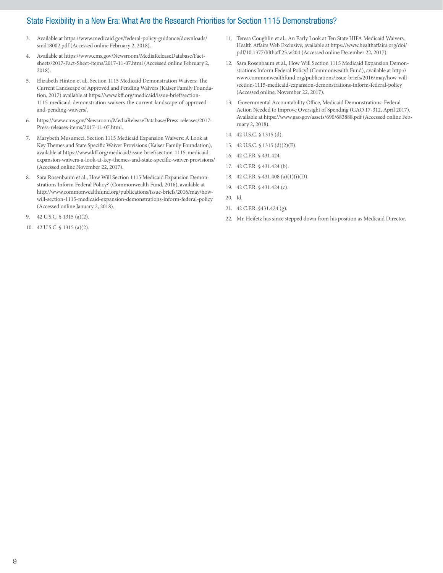- 3. Available at [https://www.medicaid.gov/federal-policy-guidance/downloads/](https://www.medicaid.gov/federal-policy-guidance/downloads/smd18002.pdf) [smd18002.pdf](https://www.medicaid.gov/federal-policy-guidance/downloads/smd18002.pdf) (Accessed online February 2, 2018).
- 4. Available at [https://www.cms.gov/Newsroom/MediaReleaseDatabase/Fact](https://www.cms.gov/Newsroom/MediaReleaseDatabase/Fact-sheets/2017-Fact-Sheet-items/2017-11-07.html)[sheets/2017-Fact-Sheet-items/2017-11-07.html](https://www.cms.gov/Newsroom/MediaReleaseDatabase/Fact-sheets/2017-Fact-Sheet-items/2017-11-07.html) (Accessed online February 2, 2018).
- 5. Elizabeth Hinton et al., Section 1115 Medicaid Demonstration Waivers: The Current Landscape of Approved and Pending Waivers (Kaiser Family Foundation, 2017) available at [https://www.kff.org/medicaid/issue-brief/section-](https://www.kff.org/medicaid/issue-brief/section-1115-medicaid-demonstration-waivers-the-current-landscape-of-approved-and-pending-waivers/)[1115-medicaid-demonstration-waivers-the-current-landscape-of-approved](https://www.kff.org/medicaid/issue-brief/section-1115-medicaid-demonstration-waivers-the-current-landscape-of-approved-and-pending-waivers/)[and-pending-waivers/](https://www.kff.org/medicaid/issue-brief/section-1115-medicaid-demonstration-waivers-the-current-landscape-of-approved-and-pending-waivers/).
- 6. [https://www.cms.gov/Newsroom/MediaReleaseDatabase/Press-releases/2017-](https://www.cms.gov/Newsroom/MediaReleaseDatabase/Press-releases/2017-Press-releases-items/2017-11-07.html) [Press-releases-items/2017-11-07.html](https://www.cms.gov/Newsroom/MediaReleaseDatabase/Press-releases/2017-Press-releases-items/2017-11-07.html).
- 7. Marybeth Musumeci, Section 1115 Medicaid Expansion Waivers: A Look at Key Themes and State Specific Waiver Provisions (Kaiser Family Foundation), available at [https://www.kff.org/medicaid/issue-brief/section-1115-medicaid](https://www.kff.org/medicaid/issue-brief/section-1115-medicaid-expansion-waivers-a-look-at-key-themes-and-state-specific-waiver-provisions/)[expansion-waivers-a-look-at-key-themes-and-state-specific-waiver-provisions/](https://www.kff.org/medicaid/issue-brief/section-1115-medicaid-expansion-waivers-a-look-at-key-themes-and-state-specific-waiver-provisions/) (Accessed online November 22, 2017).
- 8. Sara Rosenbaum et al., How Will Section 1115 Medicaid Expansion Demonstrations Inform Federal Policy? (Commonwealth Fund, 2016), available at [http://www.commonwealthfund.org/publications/issue-briefs/2016/may/how](http://www.commonwealthfund.org/publications/issue-briefs/2016/may/how-will-section-1115-medicaid-expansion-demonstrations-inform-federal-policy)[will-section-1115-medicaid-expansion-demonstrations-inform-federal-policy](http://www.commonwealthfund.org/publications/issue-briefs/2016/may/how-will-section-1115-medicaid-expansion-demonstrations-inform-federal-policy) (Accessed online January 2, 2018).
- 9. 42 U.S.C. § 1315 (a)(2).
- 10. 42 U.S.C. § 1315 (a)(2).
- 11. Teresa Coughlin et al., An Early Look at Ten State HIFA Medicaid Waivers. Health Affairs Web Exclusive, available at [https://www.healthaffairs.org/doi/](https://www.healthaffairs.org/doi/pdf/10.1377/hlthaff.25.w204) [pdf/10.1377/hlthaff.25.w204](https://www.healthaffairs.org/doi/pdf/10.1377/hlthaff.25.w204) (Accessed online December 22, 2017).
- 12. Sara Rosenbaum et al., How Will Section 1115 Medicaid Expansion Demonstrations Inform Federal Policy? (Commonwealth Fund), available at [http://](http://www.commonwealthfund.org/publications/issue-briefs/2016/may/how-will-section-1115-medicaid-expansion-demonstrations-inform-federal-policy) [www.commonwealthfund.org/publications/issue-briefs/2016/may/how-will](http://www.commonwealthfund.org/publications/issue-briefs/2016/may/how-will-section-1115-medicaid-expansion-demonstrations-inform-federal-policy)[section-1115-medicaid-expansion-demonstrations-inform-federal-policy](http://www.commonwealthfund.org/publications/issue-briefs/2016/may/how-will-section-1115-medicaid-expansion-demonstrations-inform-federal-policy)  (Accessed online, November 22, 2017).
- 13. Governmental Accountability Office, Medicaid Demonstrations: Federal Action Needed to Improve Oversight of Spending (GAO 17-312, April 2017). Available at <https://www.gao.gov/assets/690/683888.pdf>(Accessed online February 2, 2018).
- 14. 42 U.S.C. § 1315 (d).
- 15. 42 U.S.C. § 1315 (d)(2)(E).
- 16. 42 C.F.R. § 431.424.
- 17. 42 C.F.R. § 431.424 (b).
- 18. 42 C.F.R. § 431.408 (a)(1)(i)(D).
- 19. 42 C.F.R. § 431.424 (c).
- 20. Id.
- 21. 42 C.F.R. §431.424 (g).
- 22. Mr. Heifetz has since stepped down from his position as Medicaid Director.